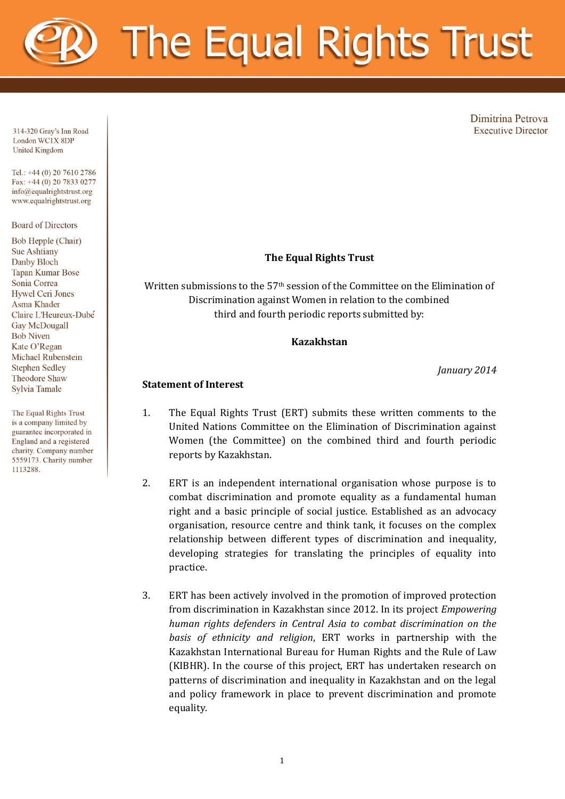# The Equal Rights Trust

Dimitrina Petrova **Executive Director** 

314-320 Gray's Inn Road London WC1X 8DP **United Kingdom** 

Tel.: +44 (0) 20 7610 2786 Fax: +44 (0) 20 7833 0277  $info@equalrightstrust.org$ www.equalrightstrust.org

**Board of Directors** 

Bob Hepple (Chair) **Sue Ashtiany** Danby Bloch **Tapan Kumar Bose** Sonia Correa **Hywel Ceri Jones Asma Khader** Claire L'Heureux-Dubé **Gav McDougall Bob Niven** Kate O'Regan **Michael Rubenstein Stephen Sedley Theodore Shaw** Sylvia Tamale

The Equal Rights Trust is a company limited by guarantee incorporated in England and a registered charity. Company number 5559173. Charity number 1113288.

# **The Equal Rights Trust**

Written submissions to the 57<sup>th</sup> session of the Committee on the Elimination of Discrimination against Women in relation to the combined third and fourth periodic reports submitted by:

#### **Kazakhstan**

*January 2014*

#### **Statement of Interest**

- 1. The Equal Rights Trust (ERT) submits these written comments to the United Nations Committee on the Elimination of Discrimination against Women (the Committee) on the combined third and fourth periodic reports by Kazakhstan.
- 2. ERT is an independent international organisation whose purpose is to combat discrimination and promote equality as a fundamental human right and a basic principle of social justice. Established as an advocacy organisation, resource centre and think tank, it focuses on the complex relationship between different types of discrimination and inequality, developing strategies for translating the principles of equality into practice.
- 3. ERT has been actively involved in the promotion of improved protection from discrimination in Kazakhstan since 2012. In its project *Empowering human rights defenders in Central Asia to combat discrimination on the basis of ethnicity and religion*, ERT works in partnership with the Kazakhstan International Bureau for Human Rights and the Rule of Law (KIBHR). In the course of this project, ERT has undertaken research on patterns of discrimination and inequality in Kazakhstan and on the legal and policy framework in place to prevent discrimination and promote equality.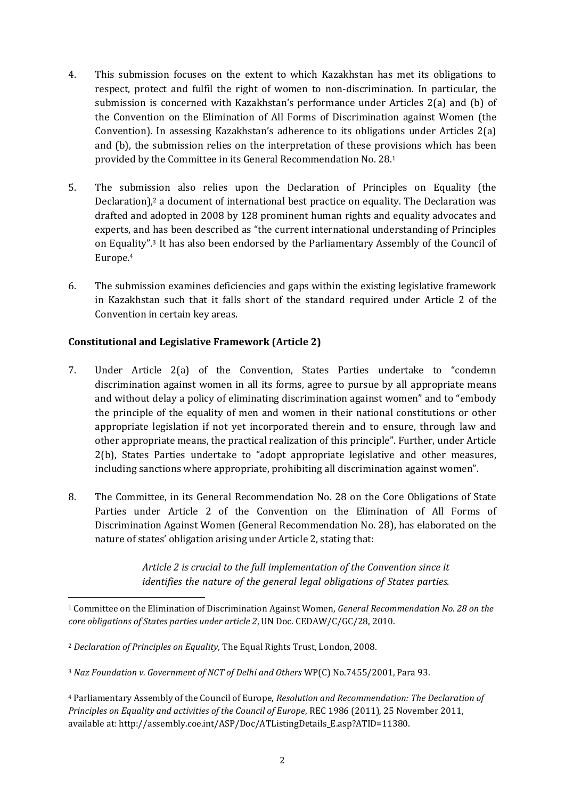- 4. This submission focuses on the extent to which Kazakhstan has met its obligations to respect, protect and fulfil the right of women to non-discrimination. In particular, the submission is concerned with Kazakhstan's performance under Articles 2(a) and (b) of the Convention on the Elimination of All Forms of Discrimination against Women (the Convention). In assessing Kazakhstan's adherence to its obligations under Articles 2(a) and (b), the submission relies on the interpretation of these provisions which has been provided by the Committee in its General Recommendation No. 28.<sup>1</sup>
- 5. The submission also relies upon the Declaration of Principles on Equality (the Declaration),<sup>2</sup> a document of international best practice on equality. The Declaration was drafted and adopted in 2008 by 128 prominent human rights and equality advocates and experts, and has been described as "the current international understanding of Principles on Equality".<sup>3</sup> It has also been endorsed by the Parliamentary Assembly of the Council of Europe.<sup>4</sup>
- 6. The submission examines deficiencies and gaps within the existing legislative framework in Kazakhstan such that it falls short of the standard required under Article 2 of the Convention in certain key areas.

# **Constitutional and Legislative Framework (Article 2)**

- 7. Under Article 2(a) of the Convention, States Parties undertake to "condemn discrimination against women in all its forms, agree to pursue by all appropriate means and without delay a policy of eliminating discrimination against women" and to "embody the principle of the equality of men and women in their national constitutions or other appropriate legislation if not yet incorporated therein and to ensure, through law and other appropriate means, the practical realization of this principle". Further, under Article 2(b), States Parties undertake to "adopt appropriate legislative and other measures, including sanctions where appropriate, prohibiting all discrimination against women".
- 8. The Committee, in its General Recommendation No. 28 on the Core Obligations of State Parties under Article 2 of the Convention on the Elimination of All Forms of Discrimination Against Women (General Recommendation No. 28), has elaborated on the nature of states' obligation arising under Article 2, stating that:

*Article 2 is crucial to the full implementation of the Convention since it identifies the nature of the general legal obligations of States parties.* 

<sup>1</sup> Committee on the Elimination of Discrimination Against Women, *General Recommendation No. 28 on the core obligations of States parties under article 2*, UN Doc. CEDAW/C/GC/28, 2010.

<sup>2</sup> *Declaration of Principles on Equality*, The Equal Rights Trust, London, 2008.

<sup>3</sup> *Naz Foundation v. Government of NCT of Delhi and Others* WP(C) No.7455/2001, Para 93.

<sup>4</sup> Parliamentary Assembly of the Council of Europe, *Resolution and Recommendation: The Declaration of Principles on Equality and activities of the Council of Europe*, REC 1986 (2011), 25 November 2011, available at: http://assembly.coe.int/ASP/Doc/ATListingDetails\_E.asp?ATID=11380.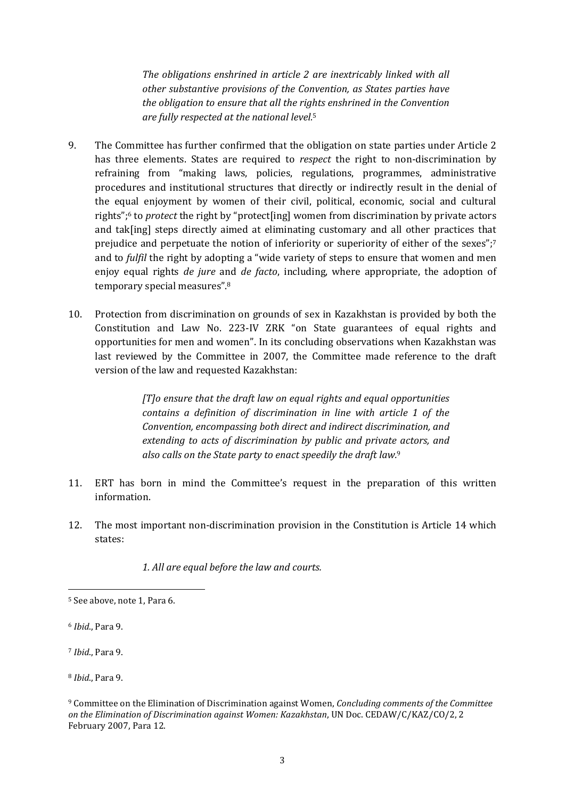*The obligations enshrined in article 2 are inextricably linked with all other substantive provisions of the Convention, as States parties have the obligation to ensure that all the rights enshrined in the Convention are fully respected at the national level.*<sup>5</sup>

- 9. The Committee has further confirmed that the obligation on state parties under Article 2 has three elements. States are required to *respect* the right to non-discrimination by refraining from "making laws, policies, regulations, programmes, administrative procedures and institutional structures that directly or indirectly result in the denial of the equal enjoyment by women of their civil, political, economic, social and cultural rights";<sup>6</sup> to *protect* the right by "protect[ing] women from discrimination by private actors and tak[ing] steps directly aimed at eliminating customary and all other practices that prejudice and perpetuate the notion of inferiority or superiority of either of the sexes";<sup>7</sup> and to *fulfil* the right by adopting a "wide variety of steps to ensure that women and men enjoy equal rights *de jure* and *de facto*, including, where appropriate, the adoption of temporary special measures".<sup>8</sup>
- 10. Protection from discrimination on grounds of sex in Kazakhstan is provided by both the Constitution and Law No. 223-IV ZRK "on State guarantees of equal rights and opportunities for men and women". In its concluding observations when Kazakhstan was last reviewed by the Committee in 2007, the Committee made reference to the draft version of the law and requested Kazakhstan:

*[T]o ensure that the draft law on equal rights and equal opportunities contains a definition of discrimination in line with article 1 of the Convention, encompassing both direct and indirect discrimination, and extending to acts of discrimination by public and private actors, and also calls on the State party to enact speedily the draft law.*<sup>9</sup>

- 11. ERT has born in mind the Committee's request in the preparation of this written information.
- 12. The most important non-discrimination provision in the Constitution is Article 14 which states:

*1. All are equal before the law and courts.*

1

<sup>7</sup> *Ibid*., Para 9.

<sup>8</sup> *Ibid*., Para 9.

<sup>5</sup> See above, note 1, Para 6.

<sup>6</sup> *Ibid*., Para 9.

<sup>9</sup> Committee on the Elimination of Discrimination against Women, *Concluding comments of the Committee on the Elimination of Discrimination against Women: Kazakhstan*, UN Doc. CEDAW/C/KAZ/CO/2, 2 February 2007, Para 12.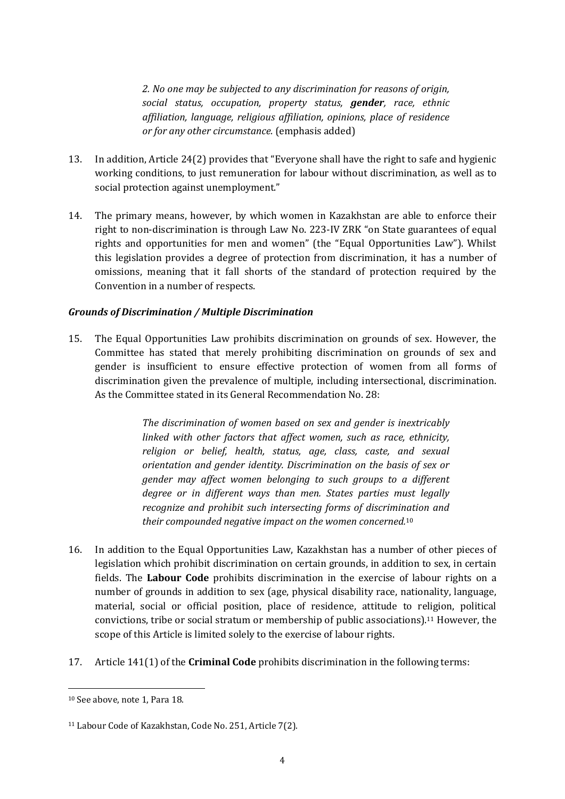*2. No one may be subjected to any discrimination for reasons of origin, social status, occupation, property status, gender, race, ethnic affiliation, language, religious affiliation, opinions, place of residence or for any other circumstance.* (emphasis added)

- 13. In addition, Article 24(2) provides that "Everyone shall have the right to safe and hygienic working conditions, to just remuneration for labour without discrimination, as well as to social protection against unemployment."
- 14. The primary means, however, by which women in Kazakhstan are able to enforce their right to non-discrimination is through Law No. 223-IV ZRK "on State guarantees of equal rights and opportunities for men and women" (the "Equal Opportunities Law"). Whilst this legislation provides a degree of protection from discrimination, it has a number of omissions, meaning that it fall shorts of the standard of protection required by the Convention in a number of respects.

#### *Grounds of Discrimination / Multiple Discrimination*

15. The Equal Opportunities Law prohibits discrimination on grounds of sex. However, the Committee has stated that merely prohibiting discrimination on grounds of sex and gender is insufficient to ensure effective protection of women from all forms of discrimination given the prevalence of multiple, including intersectional, discrimination. As the Committee stated in its General Recommendation No. 28:

> *The discrimination of women based on sex and gender is inextricably linked with other factors that affect women, such as race, ethnicity, religion or belief, health, status, age, class, caste, and sexual orientation and gender identity. Discrimination on the basis of sex or gender may affect women belonging to such groups to a different degree or in different ways than men. States parties must legally recognize and prohibit such intersecting forms of discrimination and their compounded negative impact on the women concerned.*<sup>10</sup>

- 16. In addition to the Equal Opportunities Law, Kazakhstan has a number of other pieces of legislation which prohibit discrimination on certain grounds, in addition to sex, in certain fields. The **Labour Code** prohibits discrimination in the exercise of labour rights on a number of grounds in addition to sex (age, physical disability race, nationality, language, material, social or official position, place of residence, attitude to religion, political convictions, tribe or social stratum or membership of public associations).<sup>11</sup> However, the scope of this Article is limited solely to the exercise of labour rights.
- 17. Article 141(1) of the **Criminal Code** prohibits discrimination in the following terms:

<sup>10</sup> See above, note 1, Para 18.

<sup>11</sup> Labour Code of Kazakhstan, Code No. 251, Article 7(2).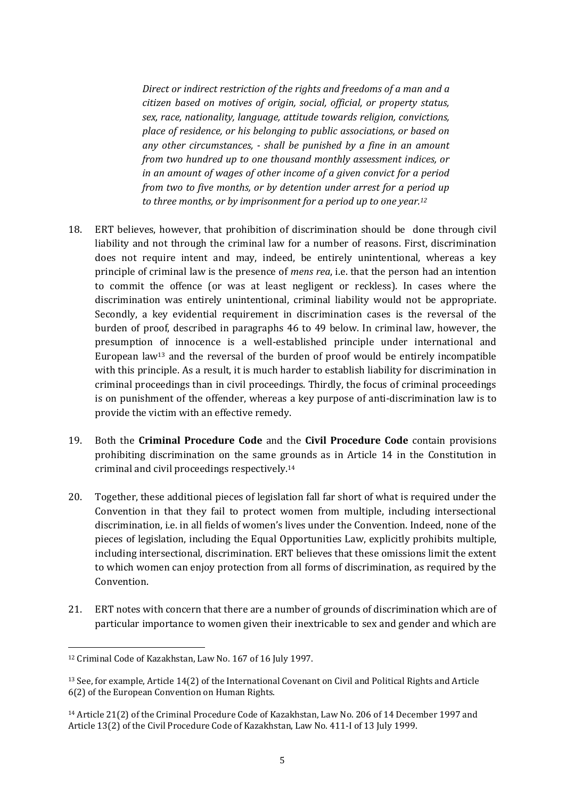*Direct or indirect restriction of the rights and freedoms of a man and a citizen based on motives of origin, social, official, or property status, sex, race, nationality, language, attitude towards religion, convictions, place of residence, or his belonging to public associations, or based on any other circumstances, - shall be punished by a fine in an amount from two hundred up to one thousand monthly assessment indices, or in an amount of wages of other income of a given convict for a period from two to five months, or by detention under arrest for a period up to three months, or by imprisonment for a period up to one year.<sup>12</sup>*

- 18. ERT believes, however, that prohibition of discrimination should be done through civil liability and not through the criminal law for a number of reasons. First, discrimination does not require intent and may, indeed, be entirely unintentional, whereas a key principle of criminal law is the presence of *mens rea*, i.e. that the person had an intention to commit the offence (or was at least negligent or reckless). In cases where the discrimination was entirely unintentional, criminal liability would not be appropriate. Secondly, a key evidential requirement in discrimination cases is the reversal of the burden of proof, described in paragraphs 46 to 49 below. In criminal law, however, the presumption of innocence is a well-established principle under international and European law<sup>13</sup> and the reversal of the burden of proof would be entirely incompatible with this principle. As a result, it is much harder to establish liability for discrimination in criminal proceedings than in civil proceedings. Thirdly, the focus of criminal proceedings is on punishment of the offender, whereas a key purpose of anti-discrimination law is to provide the victim with an effective remedy.
- 19. Both the **Criminal Procedure Code** and the **Civil Procedure Code** contain provisions prohibiting discrimination on the same grounds as in Article 14 in the Constitution in criminal and civil proceedings respectively.<sup>14</sup>
- 20. Together, these additional pieces of legislation fall far short of what is required under the Convention in that they fail to protect women from multiple, including intersectional discrimination, i.e. in all fields of women's lives under the Convention. Indeed, none of the pieces of legislation, including the Equal Opportunities Law, explicitly prohibits multiple, including intersectional, discrimination. ERT believes that these omissions limit the extent to which women can enjoy protection from all forms of discrimination, as required by the Convention.
- 21. ERT notes with concern that there are a number of grounds of discrimination which are of particular importance to women given their inextricable to sex and gender and which are

<sup>12</sup> Criminal Code of Kazakhstan, Law No. 167 of 16 July 1997.

<sup>13</sup> See, for example, Article 14(2) of the International Covenant on Civil and Political Rights and Article 6(2) of the European Convention on Human Rights.

<sup>14</sup> Article 21(2) of the Criminal Procedure Code of Kazakhstan, Law No. 206 of 14 December 1997 and Article 13(2) of the Civil Procedure Code of Kazakhstan, Law No. 411-I of 13 July 1999.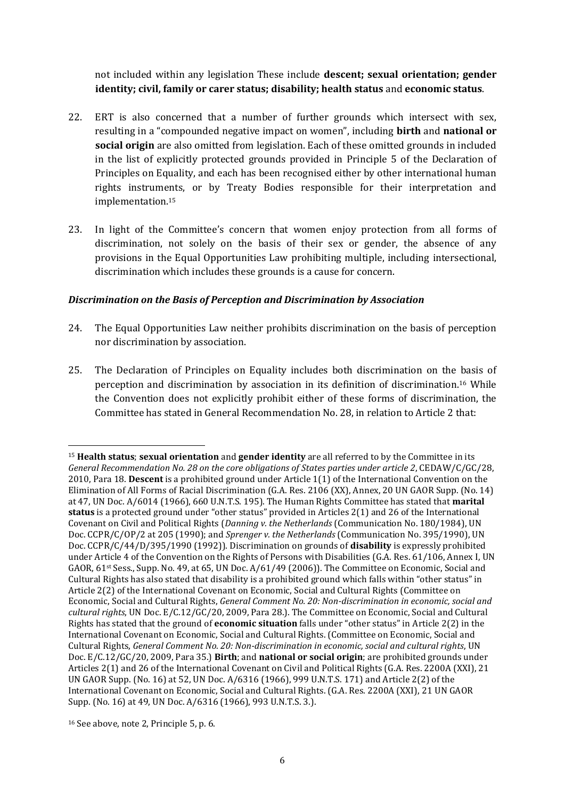not included within any legislation These include **descent; sexual orientation; gender identity; civil, family or carer status; disability; health status** and **economic status**.

- 22. ERT is also concerned that a number of further grounds which intersect with sex, resulting in a "compounded negative impact on women", including **birth** and **national or social origin** are also omitted from legislation. Each of these omitted grounds in included in the list of explicitly protected grounds provided in Principle 5 of the Declaration of Principles on Equality, and each has been recognised either by other international human rights instruments, or by Treaty Bodies responsible for their interpretation and implementation.<sup>15</sup>
- 23. In light of the Committee's concern that women enjoy protection from all forms of discrimination, not solely on the basis of their sex or gender, the absence of any provisions in the Equal Opportunities Law prohibiting multiple, including intersectional, discrimination which includes these grounds is a cause for concern.

### *Discrimination on the Basis of Perception and Discrimination by Association*

- 24. The Equal Opportunities Law neither prohibits discrimination on the basis of perception nor discrimination by association.
- 25. The Declaration of Principles on Equality includes both discrimination on the basis of perception and discrimination by association in its definition of discrimination.<sup>16</sup> While the Convention does not explicitly prohibit either of these forms of discrimination, the Committee has stated in General Recommendation No. 28, in relation to Article 2 that:

<sup>15</sup> **Health status**; **sexual orientation** and **gender identity** are all referred to by the Committee in its *General Recommendation No. 28 on the core obligations of States parties under article 2*, CEDAW/C/GC/28, 2010, Para 18. **Descent** is a prohibited ground under Article 1(1) of the International Convention on the Elimination of All Forms of Racial Discrimination (G.A. Res. 2106 (XX), Annex, 20 UN GAOR Supp. (No. 14) at 47, UN Doc. A/6014 (1966), 660 U.N.T.S. 195). The Human Rights Committee has stated that **marital status** is a protected ground under "other status" provided in Articles 2(1) and 26 of the International Covenant on Civil and Political Rights (*Danning v. the Netherlands* (Communication No. 180/1984), UN Doc. CCPR/C/OP/2 at 205 (1990); and *Sprenger v. the Netherlands* (Communication No. 395/1990), UN Doc. CCPR/C/44/D/395/1990 (1992)). Discrimination on grounds of **disability** is expressly prohibited under Article 4 of the Convention on the Rights of Persons with Disabilities (G.A. Res. 61/106, Annex I, UN GAOR,  $61^{st}$  Sess., Supp. No. 49, at 65, UN Doc.  $A/61/49$  (2006)). The Committee on Economic, Social and Cultural Rights has also stated that disability is a prohibited ground which falls within "other status" in Article 2(2) of the International Covenant on Economic, Social and Cultural Rights (Committee on Economic, Social and Cultural Rights, *General Comment No. 20: Non-discrimination in economic, social and cultural rights*, UN Doc. E/C.12/GC/20, 2009, Para 28.). The Committee on Economic, Social and Cultural Rights has stated that the ground of **economic situation** falls under "other status" in Article 2(2) in the International Covenant on Economic, Social and Cultural Rights. (Committee on Economic, Social and Cultural Rights, *General Comment No. 20: Non-discrimination in economic, social and cultural rights*, UN Doc. E/C.12/GC/20, 2009, Para 35.) **Birth**; and **national or social origin**; are prohibited grounds under Articles 2(1) and 26 of the International Covenant on Civil and Political Rights (G.A. Res. 2200A (XXI), 21 UN GAOR Supp. (No. 16) at 52, UN Doc. A/6316 (1966), 999 U.N.T.S. 171) and Article 2(2) of the International Covenant on Economic, Social and Cultural Rights. (G.A. Res. 2200A (XXI), 21 UN GAOR Supp. (No. 16) at 49, UN Doc. A/6316 (1966), 993 U.N.T.S. 3.).

<sup>16</sup> See above, note 2, Principle 5, p. 6.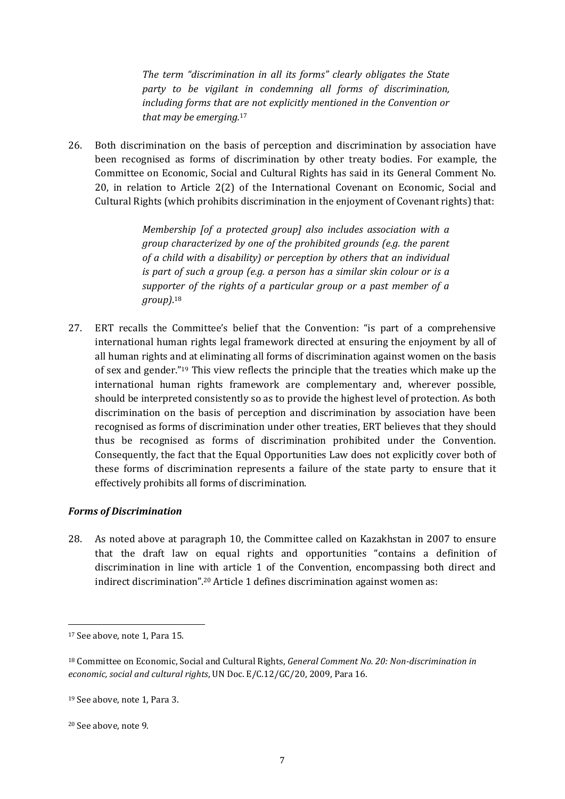*The term "discrimination in all its forms" clearly obligates the State party to be vigilant in condemning all forms of discrimination, including forms that are not explicitly mentioned in the Convention or that may be emerging.*<sup>17</sup>

26. Both discrimination on the basis of perception and discrimination by association have been recognised as forms of discrimination by other treaty bodies. For example, the Committee on Economic, Social and Cultural Rights has said in its General Comment No. 20, in relation to Article 2(2) of the International Covenant on Economic, Social and Cultural Rights (which prohibits discrimination in the enjoyment of Covenant rights) that:

> *Membership [of a protected group] also includes association with a group characterized by one of the prohibited grounds (e.g. the parent of a child with a disability) or perception by others that an individual is part of such a group (e.g. a person has a similar skin colour or is a supporter of the rights of a particular group or a past member of a group)*. 18

27. ERT recalls the Committee's belief that the Convention: "is part of a comprehensive international human rights legal framework directed at ensuring the enjoyment by all of all human rights and at eliminating all forms of discrimination against women on the basis of sex and gender."<sup>19</sup> This view reflects the principle that the treaties which make up the international human rights framework are complementary and, wherever possible, should be interpreted consistently so as to provide the highest level of protection. As both discrimination on the basis of perception and discrimination by association have been recognised as forms of discrimination under other treaties, ERT believes that they should thus be recognised as forms of discrimination prohibited under the Convention. Consequently, the fact that the Equal Opportunities Law does not explicitly cover both of these forms of discrimination represents a failure of the state party to ensure that it effectively prohibits all forms of discrimination.

#### *Forms of Discrimination*

28. As noted above at paragraph 10, the Committee called on Kazakhstan in 2007 to ensure that the draft law on equal rights and opportunities "contains a definition of discrimination in line with article 1 of the Convention, encompassing both direct and indirect discrimination".<sup>20</sup> Article 1 defines discrimination against women as:

<sup>17</sup> See above, note 1, Para 15.

<sup>18</sup> Committee on Economic, Social and Cultural Rights, *General Comment No. 20: Non-discrimination in economic, social and cultural rights*, UN Doc. E/C.12/GC/20, 2009, Para 16.

<sup>19</sup> See above, note 1, Para 3.

<sup>20</sup> See above, note 9.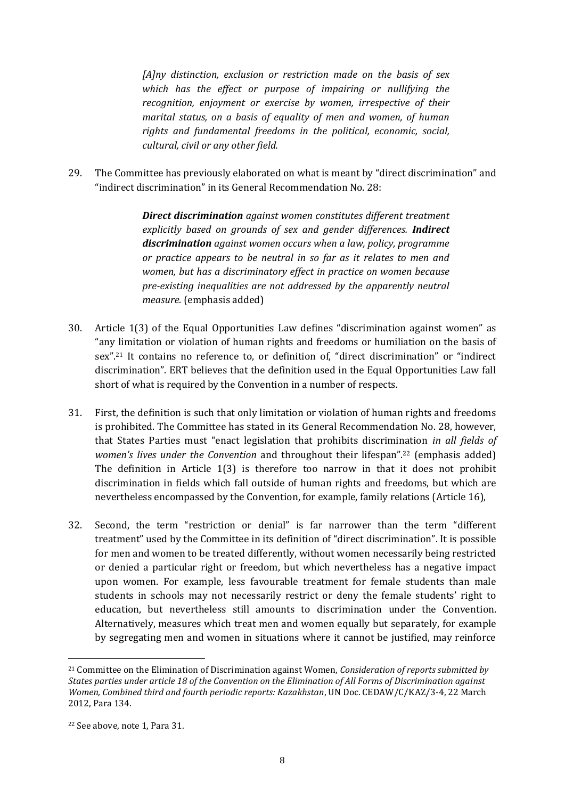*[A]ny distinction, exclusion or restriction made on the basis of sex which has the effect or purpose of impairing or nullifying the recognition, enjoyment or exercise by women, irrespective of their marital status, on a basis of equality of men and women, of human rights and fundamental freedoms in the political, economic, social, cultural, civil or any other field.*

29. The Committee has previously elaborated on what is meant by "direct discrimination" and "indirect discrimination" in its General Recommendation No. 28:

> *Direct discrimination against women constitutes different treatment explicitly based on grounds of sex and gender differences. Indirect discrimination against women occurs when a law, policy, programme or practice appears to be neutral in so far as it relates to men and women, but has a discriminatory effect in practice on women because pre-existing inequalities are not addressed by the apparently neutral measure.* (emphasis added)

- 30. Article 1(3) of the Equal Opportunities Law defines "discrimination against women" as "any limitation or violation of human rights and freedoms or humiliation on the basis of sex".<sup>21</sup> It contains no reference to, or definition of, "direct discrimination" or "indirect discrimination". ERT believes that the definition used in the Equal Opportunities Law fall short of what is required by the Convention in a number of respects.
- 31. First, the definition is such that only limitation or violation of human rights and freedoms is prohibited. The Committee has stated in its General Recommendation No. 28, however, that States Parties must "enact legislation that prohibits discrimination *in all fields of women's lives under the Convention* and throughout their lifespan".<sup>22</sup> (emphasis added) The definition in Article 1(3) is therefore too narrow in that it does not prohibit discrimination in fields which fall outside of human rights and freedoms, but which are nevertheless encompassed by the Convention, for example, family relations (Article 16),
- 32. Second, the term "restriction or denial" is far narrower than the term "different treatment" used by the Committee in its definition of "direct discrimination". It is possible for men and women to be treated differently, without women necessarily being restricted or denied a particular right or freedom, but which nevertheless has a negative impact upon women. For example, less favourable treatment for female students than male students in schools may not necessarily restrict or deny the female students' right to education, but nevertheless still amounts to discrimination under the Convention. Alternatively, measures which treat men and women equally but separately, for example by segregating men and women in situations where it cannot be justified, may reinforce

<sup>21</sup> Committee on the Elimination of Discrimination against Women, *Consideration of reports submitted by States parties under article 18 of the Convention on the Elimination of All Forms of Discrimination against Women, Combined third and fourth periodic reports: Kazakhstan*, UN Doc. CEDAW/C/KAZ/3-4, 22 March 2012, Para 134.

<sup>22</sup> See above, note 1, Para 31.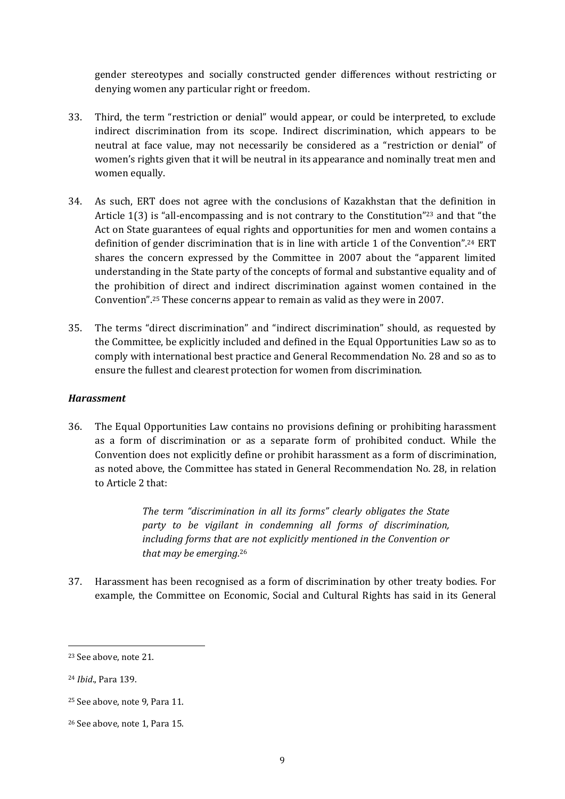gender stereotypes and socially constructed gender differences without restricting or denying women any particular right or freedom.

- 33. Third, the term "restriction or denial" would appear, or could be interpreted, to exclude indirect discrimination from its scope. Indirect discrimination, which appears to be neutral at face value, may not necessarily be considered as a "restriction or denial" of women's rights given that it will be neutral in its appearance and nominally treat men and women equally.
- 34. As such, ERT does not agree with the conclusions of Kazakhstan that the definition in Article 1(3) is "all-encompassing and is not contrary to the Constitution"<sup>23</sup> and that "the Act on State guarantees of equal rights and opportunities for men and women contains a definition of gender discrimination that is in line with article 1 of the Convention".<sup>24</sup> ERT shares the concern expressed by the Committee in 2007 about the "apparent limited understanding in the State party of the concepts of formal and substantive equality and of the prohibition of direct and indirect discrimination against women contained in the Convention".<sup>25</sup> These concerns appear to remain as valid as they were in 2007.
- 35. The terms "direct discrimination" and "indirect discrimination" should, as requested by the Committee, be explicitly included and defined in the Equal Opportunities Law so as to comply with international best practice and General Recommendation No. 28 and so as to ensure the fullest and clearest protection for women from discrimination.

#### *Harassment*

36. The Equal Opportunities Law contains no provisions defining or prohibiting harassment as a form of discrimination or as a separate form of prohibited conduct. While the Convention does not explicitly define or prohibit harassment as a form of discrimination, as noted above, the Committee has stated in General Recommendation No. 28, in relation to Article 2 that:

> *The term "discrimination in all its forms" clearly obligates the State party to be vigilant in condemning all forms of discrimination, including forms that are not explicitly mentioned in the Convention or that may be emerging.*<sup>26</sup>

37. Harassment has been recognised as a form of discrimination by other treaty bodies. For example, the Committee on Economic, Social and Cultural Rights has said in its General

<u>.</u>

<sup>23</sup> See above, note 21.

<sup>24</sup> *Ibid*., Para 139.

<sup>25</sup> See above, note 9, Para 11.

<sup>26</sup> See above, note 1, Para 15.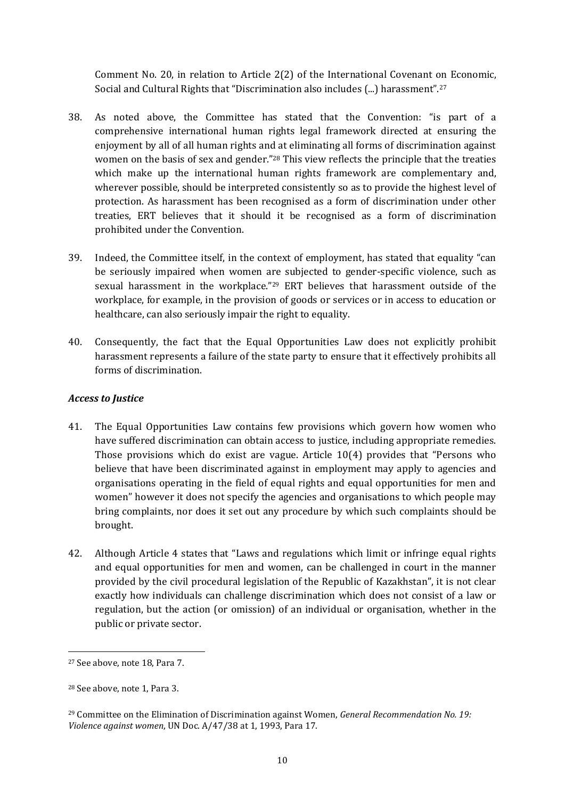Comment No. 20, in relation to Article 2(2) of the International Covenant on Economic, Social and Cultural Rights that "Discrimination also includes (...) harassment".<sup>27</sup>

- 38. As noted above, the Committee has stated that the Convention: "is part of a comprehensive international human rights legal framework directed at ensuring the enjoyment by all of all human rights and at eliminating all forms of discrimination against women on the basis of sex and gender."<sup>28</sup> This view reflects the principle that the treaties which make up the international human rights framework are complementary and, wherever possible, should be interpreted consistently so as to provide the highest level of protection. As harassment has been recognised as a form of discrimination under other treaties, ERT believes that it should it be recognised as a form of discrimination prohibited under the Convention.
- 39. Indeed, the Committee itself, in the context of employment, has stated that equality "can be seriously impaired when women are subjected to gender-specific violence, such as sexual harassment in the workplace."<sup>29</sup> ERT believes that harassment outside of the workplace, for example, in the provision of goods or services or in access to education or healthcare, can also seriously impair the right to equality.
- 40. Consequently, the fact that the Equal Opportunities Law does not explicitly prohibit harassment represents a failure of the state party to ensure that it effectively prohibits all forms of discrimination.

## *Access to Justice*

- 41. The Equal Opportunities Law contains few provisions which govern how women who have suffered discrimination can obtain access to justice, including appropriate remedies. Those provisions which do exist are vague. Article 10(4) provides that "Persons who believe that have been discriminated against in employment may apply to agencies and organisations operating in the field of equal rights and equal opportunities for men and women" however it does not specify the agencies and organisations to which people may bring complaints, nor does it set out any procedure by which such complaints should be brought.
- 42. Although Article 4 states that "Laws and regulations which limit or infringe equal rights and equal opportunities for men and women, can be challenged in court in the manner provided by the civil procedural legislation of the Republic of Kazakhstan", it is not clear exactly how individuals can challenge discrimination which does not consist of a law or regulation, but the action (or omission) of an individual or organisation, whether in the public or private sector.

<sup>27</sup> See above, note 18, Para 7.

<sup>28</sup> See above, note 1, Para 3.

<sup>29</sup> Committee on the Elimination of Discrimination against Women, *General Recommendation No. 19: Violence against women*, UN Doc. A/47/38 at 1, 1993, Para 17.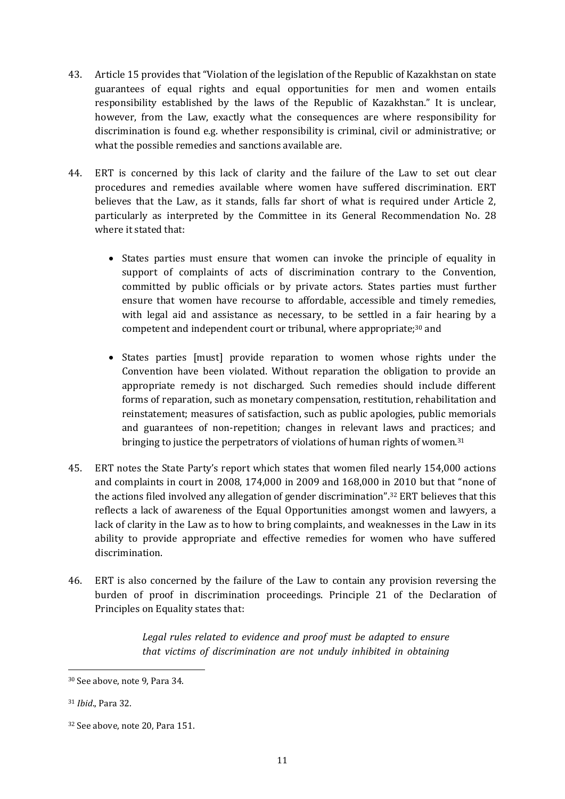- 43. Article 15 provides that "Violation of the legislation of the Republic of Kazakhstan on state guarantees of equal rights and equal opportunities for men and women entails responsibility established by the laws of the Republic of Kazakhstan." It is unclear, however, from the Law, exactly what the consequences are where responsibility for discrimination is found e.g. whether responsibility is criminal, civil or administrative; or what the possible remedies and sanctions available are.
- 44. ERT is concerned by this lack of clarity and the failure of the Law to set out clear procedures and remedies available where women have suffered discrimination. ERT believes that the Law, as it stands, falls far short of what is required under Article 2, particularly as interpreted by the Committee in its General Recommendation No. 28 where it stated that:
	- States parties must ensure that women can invoke the principle of equality in support of complaints of acts of discrimination contrary to the Convention, committed by public officials or by private actors. States parties must further ensure that women have recourse to affordable, accessible and timely remedies, with legal aid and assistance as necessary, to be settled in a fair hearing by a competent and independent court or tribunal, where appropriate;<sup>30</sup> and
	- States parties [must] provide reparation to women whose rights under the Convention have been violated. Without reparation the obligation to provide an appropriate remedy is not discharged. Such remedies should include different forms of reparation, such as monetary compensation, restitution, rehabilitation and reinstatement; measures of satisfaction, such as public apologies, public memorials and guarantees of non-repetition; changes in relevant laws and practices; and bringing to justice the perpetrators of violations of human rights of women.<sup>31</sup>
- 45. ERT notes the State Party's report which states that women filed nearly 154,000 actions and complaints in court in 2008, 174,000 in 2009 and 168,000 in 2010 but that "none of the actions filed involved any allegation of gender discrimination".<sup>32</sup> ERT believes that this reflects a lack of awareness of the Equal Opportunities amongst women and lawyers, a lack of clarity in the Law as to how to bring complaints, and weaknesses in the Law in its ability to provide appropriate and effective remedies for women who have suffered discrimination.
- 46. ERT is also concerned by the failure of the Law to contain any provision reversing the burden of proof in discrimination proceedings. Principle 21 of the Declaration of Principles on Equality states that:

*Legal rules related to evidence and proof must be adapted to ensure that victims of discrimination are not unduly inhibited in obtaining* 

<u>.</u>

<sup>30</sup> See above, note 9, Para 34.

<sup>31</sup> *Ibid*., Para 32.

<sup>32</sup> See above, note 20, Para 151.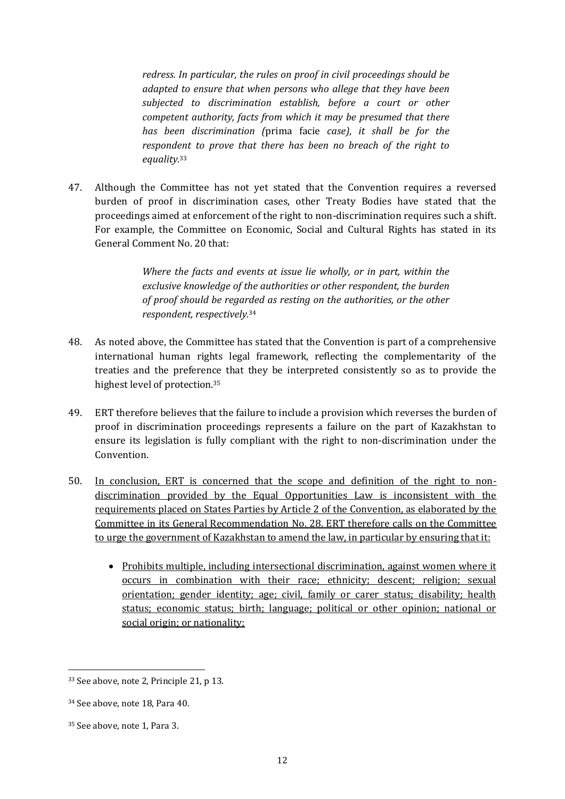*redress. In particular, the rules on proof in civil proceedings should be adapted to ensure that when persons who allege that they have been subjected to discrimination establish, before a court or other competent authority, facts from which it may be presumed that there has been discrimination (*prima facie *case), it shall be for the respondent to prove that there has been no breach of the right to equality.*<sup>33</sup>

47. Although the Committee has not yet stated that the Convention requires a reversed burden of proof in discrimination cases, other Treaty Bodies have stated that the proceedings aimed at enforcement of the right to non-discrimination requires such a shift. For example, the Committee on Economic, Social and Cultural Rights has stated in its General Comment No. 20 that:

> *Where the facts and events at issue lie wholly, or in part, within the exclusive knowledge of the authorities or other respondent, the burden of proof should be regarded as resting on the authorities, or the other respondent, respectively.*<sup>34</sup>

- 48. As noted above, the Committee has stated that the Convention is part of a comprehensive international human rights legal framework, reflecting the complementarity of the treaties and the preference that they be interpreted consistently so as to provide the highest level of protection.<sup>35</sup>
- 49. ERT therefore believes that the failure to include a provision which reverses the burden of proof in discrimination proceedings represents a failure on the part of Kazakhstan to ensure its legislation is fully compliant with the right to non-discrimination under the Convention.
- 50. In conclusion, ERT is concerned that the scope and definition of the right to nondiscrimination provided by the Equal Opportunities Law is inconsistent with the requirements placed on States Parties by Article 2 of the Convention, as elaborated by the Committee in its General Recommendation No. 28. ERT therefore calls on the Committee to urge the government of Kazakhstan to amend the law, in particular by ensuring that it:
	- Prohibits multiple, including intersectional discrimination, against women where it occurs in combination with their race; ethnicity; descent; religion; sexual orientation; gender identity; age; civil, family or carer status; disability; health status; economic status; birth; language; political or other opinion; national or social origin; or nationality;

<u>.</u>

<sup>33</sup> See above, note 2, Principle 21, p 13.

<sup>34</sup> See above, note 18, Para 40.

<sup>35</sup> See above, note 1, Para 3.